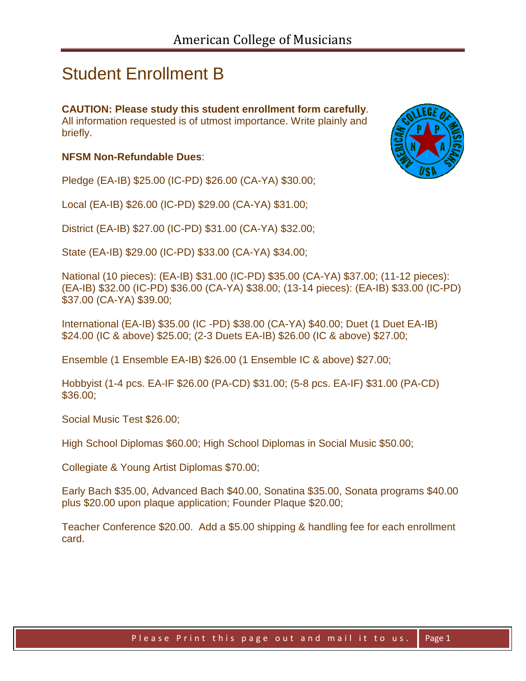## Student Enrollment B

**CAUTION: Please study this student enrollment form carefully**. All information requested is of utmost importance. Write plainly and briefly.

## **NFSM Non-Refundable Dues**:

Pledge (EA-IB) \$25.00 (IC-PD) \$26.00 (CA-YA) \$30.00;

Local (EA-IB) \$26.00 (IC-PD) \$29.00 (CA-YA) \$31.00;

District (EA-IB) \$27.00 (IC-PD) \$31.00 (CA-YA) \$32.00;

State (EA-IB) \$29.00 (IC-PD) \$33.00 (CA-YA) \$34.00;

National (10 pieces): (EA-IB) \$31.00 (IC-PD) \$35.00 (CA-YA) \$37.00; (11-12 pieces): (EA-IB) \$32.00 (IC-PD) \$36.00 (CA-YA) \$38.00; (13-14 pieces): (EA-IB) \$33.00 (IC-PD) \$37.00 (CA-YA) \$39.00;

International (EA-IB) \$35.00 (IC -PD) \$38.00 (CA-YA) \$40.00; Duet (1 Duet EA-IB) \$24.00 (IC & above) \$25.00; (2-3 Duets EA-IB) \$26.00 (IC & above) \$27.00;

Ensemble (1 Ensemble EA-IB) \$26.00 (1 Ensemble IC & above) \$27.00;

Hobbyist (1-4 pcs. EA-IF \$26.00 (PA-CD) \$31.00; (5-8 pcs. EA-IF) \$31.00 (PA-CD) \$36.00;

Social Music Test \$26.00;

High School Diplomas \$60.00; High School Diplomas in Social Music \$50.00;

Collegiate & Young Artist Diplomas \$70.00;

Early Bach \$35.00, Advanced Bach \$40.00, Sonatina \$35.00, Sonata programs \$40.00 plus \$20.00 upon plaque application; Founder Plaque \$20.00;

Teacher Conference \$20.00. Add a \$5.00 shipping & handling fee for each enrollment card.